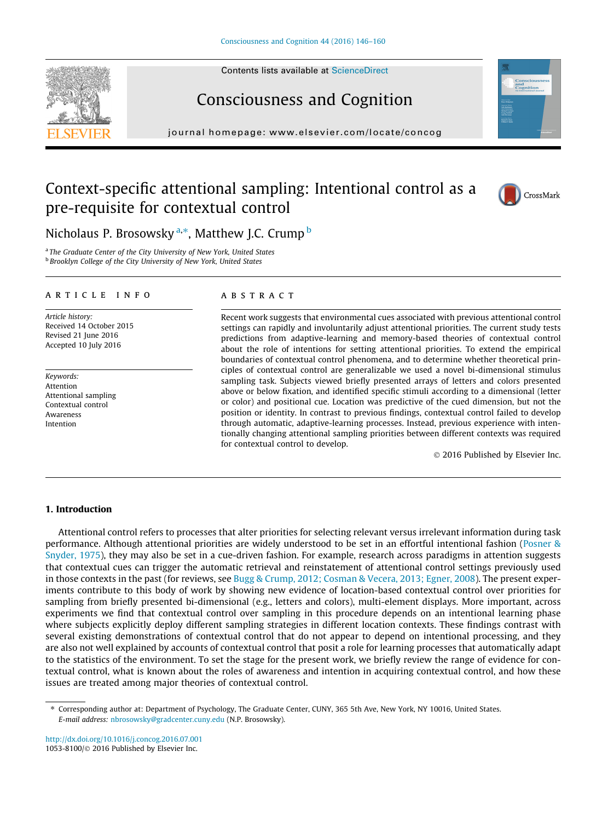Contents lists available at [ScienceDirect](http://www.sciencedirect.com/science/journal/10538100)





journal homepage: [www.elsevier.com/locate/concog](http://www.elsevier.com/locate/concog)

# Context-specific attentional sampling: Intentional control as a pre-requisite for contextual control





Nicholaus P. Brosowsky <sup>a,\*</sup>, Matthew J.C. Crump <sup>b</sup>

<sup>a</sup> The Graduate Center of the City University of New York, United States **b Brooklyn College of the City University of New York, United States** 

#### article info

Article history: Received 14 October 2015 Revised 21 June 2016 Accepted 10 July 2016

Keywords: Attention Attentional sampling Contextual control **Awareness** Intention

# **ABSTRACT**

Recent work suggests that environmental cues associated with previous attentional control settings can rapidly and involuntarily adjust attentional priorities. The current study tests predictions from adaptive-learning and memory-based theories of contextual control about the role of intentions for setting attentional priorities. To extend the empirical boundaries of contextual control phenomena, and to determine whether theoretical principles of contextual control are generalizable we used a novel bi-dimensional stimulus sampling task. Subjects viewed briefly presented arrays of letters and colors presented above or below fixation, and identified specific stimuli according to a dimensional (letter or color) and positional cue. Location was predictive of the cued dimension, but not the position or identity. In contrast to previous findings, contextual control failed to develop through automatic, adaptive-learning processes. Instead, previous experience with intentionally changing attentional sampling priorities between different contexts was required for contextual control to develop.

 $© 2016$  Published by Elsevier Inc.

# 1. Introduction

Attentional control refers to processes that alter priorities for selecting relevant versus irrelevant information during task performance. Although attentional priorities are widely understood to be set in an effortful intentional fashion [\(Posner &](#page-14-0) [Snyder, 1975\)](#page-14-0), they may also be set in a cue-driven fashion. For example, research across paradigms in attention suggests that contextual cues can trigger the automatic retrieval and reinstatement of attentional control settings previously used in those contexts in the past (for reviews, see [Bugg & Crump, 2012; Cosman & Vecera, 2013; Egner, 2008\)](#page-13-0). The present experiments contribute to this body of work by showing new evidence of location-based contextual control over priorities for sampling from briefly presented bi-dimensional (e.g., letters and colors), multi-element displays. More important, across experiments we find that contextual control over sampling in this procedure depends on an intentional learning phase where subjects explicitly deploy different sampling strategies in different location contexts. These findings contrast with several existing demonstrations of contextual control that do not appear to depend on intentional processing, and they are also not well explained by accounts of contextual control that posit a role for learning processes that automatically adapt to the statistics of the environment. To set the stage for the present work, we briefly review the range of evidence for contextual control, what is known about the roles of awareness and intention in acquiring contextual control, and how these issues are treated among major theories of contextual control.

<sup>⇑</sup> Corresponding author at: Department of Psychology, The Graduate Center, CUNY, 365 5th Ave, New York, NY 10016, United States. E-mail address: [nbrosowsky@gradcenter.cuny.edu](mailto:nbrosowsky@gradcenter.cuny.edu) (N.P. Brosowsky).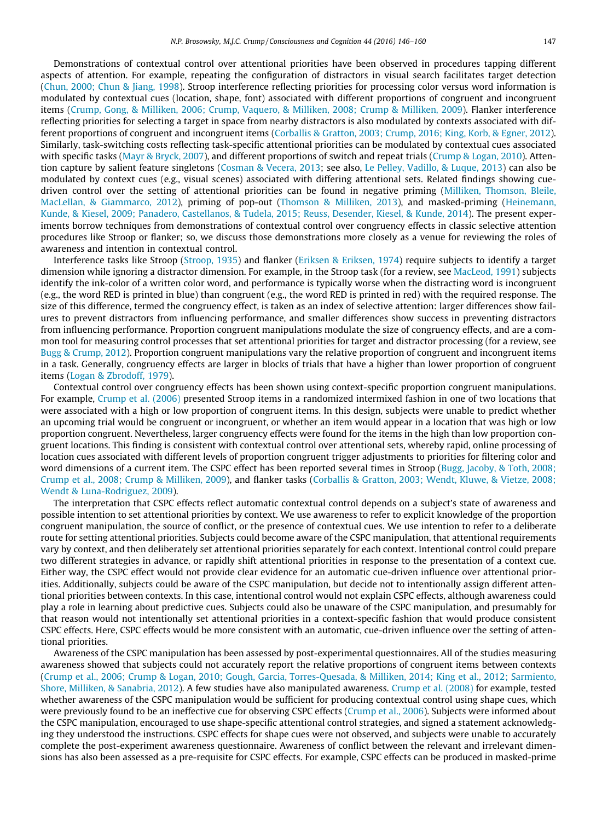Demonstrations of contextual control over attentional priorities have been observed in procedures tapping different aspects of attention. For example, repeating the configuration of distractors in visual search facilitates target detection ([Chun, 2000; Chun & Jiang, 1998](#page-14-0)). Stroop interference reflecting priorities for processing color versus word information is modulated by contextual cues (location, shape, font) associated with different proportions of congruent and incongruent items [\(Crump, Gong, & Milliken, 2006; Crump, Vaquero, & Milliken, 2008; Crump & Milliken, 2009](#page-14-0)). Flanker interference reflecting priorities for selecting a target in space from nearby distractors is also modulated by contexts associated with different proportions of congruent and incongruent items ([Corballis & Gratton, 2003; Crump, 2016; King, Korb, & Egner, 2012](#page-14-0)). Similarly, task-switching costs reflecting task-specific attentional priorities can be modulated by contextual cues associated with specific tasks ([Mayr & Bryck, 2007](#page-14-0)), and different proportions of switch and repeat trials ([Crump & Logan, 2010](#page-14-0)). Attention capture by salient feature singletons ([Cosman & Vecera, 2013;](#page-14-0) see also, [Le Pelley, Vadillo, & Luque, 2013\)](#page-14-0) can also be modulated by context cues (e.g., visual scenes) associated with differing attentional sets. Related findings showing cuedriven control over the setting of attentional priorities can be found in negative priming [\(Milliken, Thomson, Bleile,](#page-14-0) [MacLellan, & Giammarco, 2012\)](#page-14-0), priming of pop-out ([Thomson & Milliken, 2013\)](#page-14-0), and masked-priming ([Heinemann,](#page-14-0) [Kunde, & Kiesel, 2009; Panadero, Castellanos, & Tudela, 2015; Reuss, Desender, Kiesel, & Kunde, 2014\)](#page-14-0). The present experiments borrow techniques from demonstrations of contextual control over congruency effects in classic selective attention procedures like Stroop or flanker; so, we discuss those demonstrations more closely as a venue for reviewing the roles of awareness and intention in contextual control.

Interference tasks like Stroop ([Stroop, 1935](#page-14-0)) and flanker [\(Eriksen & Eriksen, 1974](#page-14-0)) require subjects to identify a target dimension while ignoring a distractor dimension. For example, in the Stroop task (for a review, see [MacLeod, 1991](#page-14-0)) subjects identify the ink-color of a written color word, and performance is typically worse when the distracting word is incongruent (e.g., the word RED is printed in blue) than congruent (e.g., the word RED is printed in red) with the required response. The size of this difference, termed the congruency effect, is taken as an index of selective attention: larger differences show failures to prevent distractors from influencing performance, and smaller differences show success in preventing distractors from influencing performance. Proportion congruent manipulations modulate the size of congruency effects, and are a common tool for measuring control processes that set attentional priorities for target and distractor processing (for a review, see [Bugg & Crump, 2012](#page-13-0)). Proportion congruent manipulations vary the relative proportion of congruent and incongruent items in a task. Generally, congruency effects are larger in blocks of trials that have a higher than lower proportion of congruent items ([Logan & Zbrodoff, 1979\)](#page-14-0).

Contextual control over congruency effects has been shown using context-specific proportion congruent manipulations. For example, [Crump et al. \(2006\)](#page-14-0) presented Stroop items in a randomized intermixed fashion in one of two locations that were associated with a high or low proportion of congruent items. In this design, subjects were unable to predict whether an upcoming trial would be congruent or incongruent, or whether an item would appear in a location that was high or low proportion congruent. Nevertheless, larger congruency effects were found for the items in the high than low proportion congruent locations. This finding is consistent with contextual control over attentional sets, whereby rapid, online processing of location cues associated with different levels of proportion congruent trigger adjustments to priorities for filtering color and word dimensions of a current item. The CSPC effect has been reported several times in Stroop [\(Bugg, Jacoby, & Toth, 2008;](#page-13-0) [Crump et al., 2008; Crump & Milliken, 2009\)](#page-13-0), and flanker tasks [\(Corballis & Gratton, 2003; Wendt, Kluwe, & Vietze, 2008;](#page-14-0) [Wendt & Luna-Rodriguez, 2009](#page-14-0)).

The interpretation that CSPC effects reflect automatic contextual control depends on a subject's state of awareness and possible intention to set attentional priorities by context. We use awareness to refer to explicit knowledge of the proportion congruent manipulation, the source of conflict, or the presence of contextual cues. We use intention to refer to a deliberate route for setting attentional priorities. Subjects could become aware of the CSPC manipulation, that attentional requirements vary by context, and then deliberately set attentional priorities separately for each context. Intentional control could prepare two different strategies in advance, or rapidly shift attentional priorities in response to the presentation of a context cue. Either way, the CSPC effect would not provide clear evidence for an automatic cue-driven influence over attentional priorities. Additionally, subjects could be aware of the CSPC manipulation, but decide not to intentionally assign different attentional priorities between contexts. In this case, intentional control would not explain CSPC effects, although awareness could play a role in learning about predictive cues. Subjects could also be unaware of the CSPC manipulation, and presumably for that reason would not intentionally set attentional priorities in a context-specific fashion that would produce consistent CSPC effects. Here, CSPC effects would be more consistent with an automatic, cue-driven influence over the setting of attentional priorities.

Awareness of the CSPC manipulation has been assessed by post-experimental questionnaires. All of the studies measuring awareness showed that subjects could not accurately report the relative proportions of congruent items between contexts ([Crump et al., 2006; Crump & Logan, 2010; Gough, Garcia, Torres-Quesada, & Milliken, 2014; King et al., 2012; Sarmiento,](#page-14-0) [Shore, Milliken, & Sanabria, 2012\)](#page-14-0). A few studies have also manipulated awareness. [Crump et al. \(2008\)](#page-14-0) for example, tested whether awareness of the CSPC manipulation would be sufficient for producing contextual control using shape cues, which were previously found to be an ineffective cue for observing CSPC effects ([Crump et al., 2006](#page-14-0)). Subjects were informed about the CSPC manipulation, encouraged to use shape-specific attentional control strategies, and signed a statement acknowledging they understood the instructions. CSPC effects for shape cues were not observed, and subjects were unable to accurately complete the post-experiment awareness questionnaire. Awareness of conflict between the relevant and irrelevant dimensions has also been assessed as a pre-requisite for CSPC effects. For example, CSPC effects can be produced in masked-prime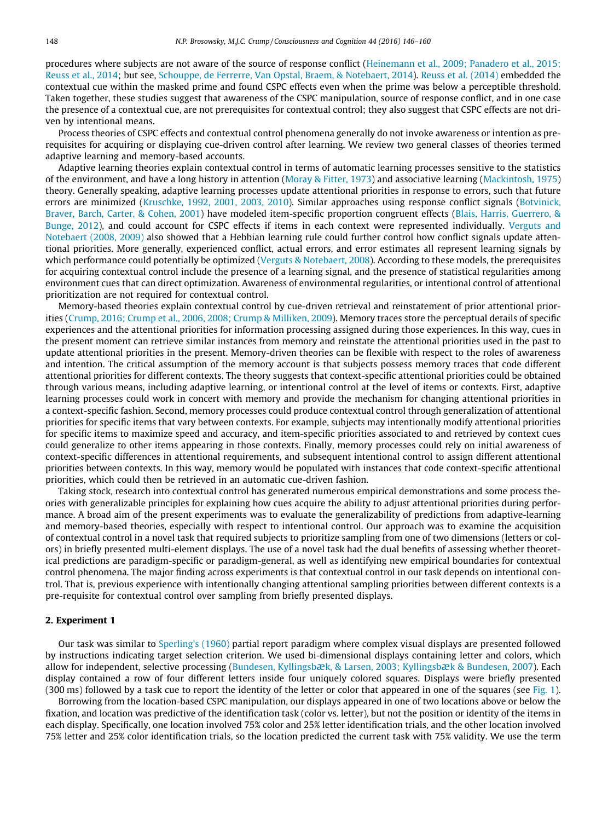procedures where subjects are not aware of the source of response conflict [\(Heinemann et al., 2009; Panadero et al., 2015;](#page-14-0) [Reuss et al., 2014;](#page-14-0) but see, [Schouppe, de Ferrerre, Van Opstal, Braem, & Notebaert, 2014\)](#page-14-0). [Reuss et al. \(2014\)](#page-14-0) embedded the contextual cue within the masked prime and found CSPC effects even when the prime was below a perceptible threshold. Taken together, these studies suggest that awareness of the CSPC manipulation, source of response conflict, and in one case the presence of a contextual cue, are not prerequisites for contextual control; they also suggest that CSPC effects are not driven by intentional means.

Process theories of CSPC effects and contextual control phenomena generally do not invoke awareness or intention as prerequisites for acquiring or displaying cue-driven control after learning. We review two general classes of theories termed adaptive learning and memory-based accounts.

Adaptive learning theories explain contextual control in terms of automatic learning processes sensitive to the statistics of the environment, and have a long history in attention [\(Moray & Fitter, 1973](#page-14-0)) and associative learning [\(Mackintosh, 1975](#page-14-0)) theory. Generally speaking, adaptive learning processes update attentional priorities in response to errors, such that future errors are minimized [\(Kruschke, 1992, 2001, 2003, 2010](#page-14-0)). Similar approaches using response conflict signals [\(Botvinick,](#page-13-0) [Braver, Barch, Carter, & Cohen, 2001](#page-13-0)) have modeled item-specific proportion congruent effects [\(Blais, Harris, Guerrero, &](#page-13-0) [Bunge, 2012](#page-13-0)), and could account for CSPC effects if items in each context were represented individually. [Verguts and](#page-14-0) [Notebaert \(2008, 2009\)](#page-14-0) also showed that a Hebbian learning rule could further control how conflict signals update attentional priorities. More generally, experienced conflict, actual errors, and error estimates all represent learning signals by which performance could potentially be optimized ([Verguts & Notebaert, 2008\)](#page-14-0). According to these models, the prerequisites for acquiring contextual control include the presence of a learning signal, and the presence of statistical regularities among environment cues that can direct optimization. Awareness of environmental regularities, or intentional control of attentional prioritization are not required for contextual control.

Memory-based theories explain contextual control by cue-driven retrieval and reinstatement of prior attentional priorities [\(Crump, 2016; Crump et al., 2006, 2008; Crump & Milliken, 2009\)](#page-14-0). Memory traces store the perceptual details of specific experiences and the attentional priorities for information processing assigned during those experiences. In this way, cues in the present moment can retrieve similar instances from memory and reinstate the attentional priorities used in the past to update attentional priorities in the present. Memory-driven theories can be flexible with respect to the roles of awareness and intention. The critical assumption of the memory account is that subjects possess memory traces that code different attentional priorities for different contexts. The theory suggests that context-specific attentional priorities could be obtained through various means, including adaptive learning, or intentional control at the level of items or contexts. First, adaptive learning processes could work in concert with memory and provide the mechanism for changing attentional priorities in a context-specific fashion. Second, memory processes could produce contextual control through generalization of attentional priorities for specific items that vary between contexts. For example, subjects may intentionally modify attentional priorities for specific items to maximize speed and accuracy, and item-specific priorities associated to and retrieved by context cues could generalize to other items appearing in those contexts. Finally, memory processes could rely on initial awareness of context-specific differences in attentional requirements, and subsequent intentional control to assign different attentional priorities between contexts. In this way, memory would be populated with instances that code context-specific attentional priorities, which could then be retrieved in an automatic cue-driven fashion.

Taking stock, research into contextual control has generated numerous empirical demonstrations and some process theories with generalizable principles for explaining how cues acquire the ability to adjust attentional priorities during performance. A broad aim of the present experiments was to evaluate the generalizability of predictions from adaptive-learning and memory-based theories, especially with respect to intentional control. Our approach was to examine the acquisition of contextual control in a novel task that required subjects to prioritize sampling from one of two dimensions (letters or colors) in briefly presented multi-element displays. The use of a novel task had the dual benefits of assessing whether theoretical predictions are paradigm-specific or paradigm-general, as well as identifying new empirical boundaries for contextual control phenomena. The major finding across experiments is that contextual control in our task depends on intentional control. That is, previous experience with intentionally changing attentional sampling priorities between different contexts is a pre-requisite for contextual control over sampling from briefly presented displays.

# 2. Experiment 1

Our task was similar to [Sperling's \(1960\)](#page-14-0) partial report paradigm where complex visual displays are presented followed by instructions indicating target selection criterion. We used bi-dimensional displays containing letter and colors, which allow for independent, selective processing [\(Bundesen, Kyllingsbæk, & Larsen, 2003; Kyllingsbæk & Bundesen, 2007](#page-13-0)). Each display contained a row of four different letters inside four uniquely colored squares. Displays were briefly presented (300 ms) followed by a task cue to report the identity of the letter or color that appeared in one of the squares (see [Fig. 1](#page-3-0)).

Borrowing from the location-based CSPC manipulation, our displays appeared in one of two locations above or below the fixation, and location was predictive of the identification task (color vs. letter), but not the position or identity of the items in each display. Specifically, one location involved 75% color and 25% letter identification trials, and the other location involved 75% letter and 25% color identification trials, so the location predicted the current task with 75% validity. We use the term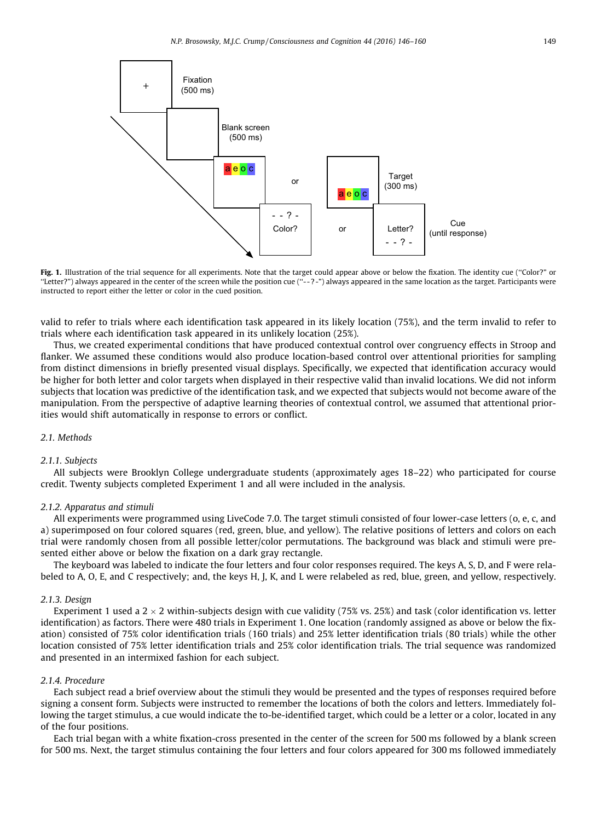<span id="page-3-0"></span>

Fig. 1. Illustration of the trial sequence for all experiments. Note that the target could appear above or below the fixation. The identity cue ("Color?" or "Letter?") always appeared in the center of the screen while the position cue ("--?-") always appeared in the same location as the target. Participants were instructed to report either the letter or color in the cued position.

valid to refer to trials where each identification task appeared in its likely location (75%), and the term invalid to refer to trials where each identification task appeared in its unlikely location (25%).

Thus, we created experimental conditions that have produced contextual control over congruency effects in Stroop and flanker. We assumed these conditions would also produce location-based control over attentional priorities for sampling from distinct dimensions in briefly presented visual displays. Specifically, we expected that identification accuracy would be higher for both letter and color targets when displayed in their respective valid than invalid locations. We did not inform subjects that location was predictive of the identification task, and we expected that subjects would not become aware of the manipulation. From the perspective of adaptive learning theories of contextual control, we assumed that attentional priorities would shift automatically in response to errors or conflict.

# 2.1. Methods

# 2.1.1. Subjects

All subjects were Brooklyn College undergraduate students (approximately ages 18–22) who participated for course credit. Twenty subjects completed Experiment 1 and all were included in the analysis.

## 2.1.2. Apparatus and stimuli

All experiments were programmed using LiveCode 7.0. The target stimuli consisted of four lower-case letters (o, e, c, and a) superimposed on four colored squares (red, green, blue, and yellow). The relative positions of letters and colors on each trial were randomly chosen from all possible letter/color permutations. The background was black and stimuli were presented either above or below the fixation on a dark gray rectangle.

The keyboard was labeled to indicate the four letters and four color responses required. The keys A, S, D, and F were relabeled to A, O, E, and C respectively; and, the keys H, J, K, and L were relabeled as red, blue, green, and yellow, respectively.

# 2.1.3. Design

Experiment 1 used a  $2 \times 2$  within-subjects design with cue validity (75% vs. 25%) and task (color identification vs. letter identification) as factors. There were 480 trials in Experiment 1. One location (randomly assigned as above or below the fixation) consisted of 75% color identification trials (160 trials) and 25% letter identification trials (80 trials) while the other location consisted of 75% letter identification trials and 25% color identification trials. The trial sequence was randomized and presented in an intermixed fashion for each subject.

# 2.1.4. Procedure

Each subject read a brief overview about the stimuli they would be presented and the types of responses required before signing a consent form. Subjects were instructed to remember the locations of both the colors and letters. Immediately following the target stimulus, a cue would indicate the to-be-identified target, which could be a letter or a color, located in any of the four positions.

Each trial began with a white fixation-cross presented in the center of the screen for 500 ms followed by a blank screen for 500 ms. Next, the target stimulus containing the four letters and four colors appeared for 300 ms followed immediately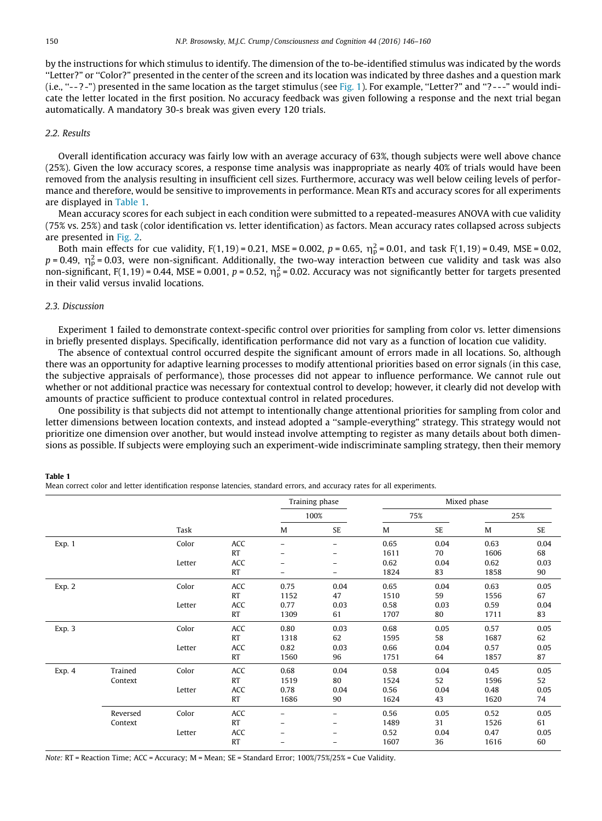<span id="page-4-0"></span>by the instructions for which stimulus to identify. The dimension of the to-be-identified stimulus was indicated by the words ''Letter?" or ''Color?" presented in the center of the screen and its location was indicated by three dashes and a question mark  $(i.e., "--?")$  presented in the same location as the target stimulus (see [Fig. 1](#page-3-0)). For example, "Letter?" and "?---" would indicate the letter located in the first position. No accuracy feedback was given following a response and the next trial began automatically. A mandatory 30-s break was given every 120 trials.

# 2.2. Results

Overall identification accuracy was fairly low with an average accuracy of 63%, though subjects were well above chance (25%). Given the low accuracy scores, a response time analysis was inappropriate as nearly 40% of trials would have been removed from the analysis resulting in insufficient cell sizes. Furthermore, accuracy was well below ceiling levels of performance and therefore, would be sensitive to improvements in performance. Mean RTs and accuracy scores for all experiments are displayed in Table 1.

Mean accuracy scores for each subject in each condition were submitted to a repeated-measures ANOVA with cue validity (75% vs. 25%) and task (color identification vs. letter identification) as factors. Mean accuracy rates collapsed across subjects are presented in [Fig. 2](#page-5-0).

Both main effects for cue validity, F(1,19) = 0.21, MSE = 0.002, p = 0.65,  $\eta_p^2$  = 0.01, and task F(1,19) = 0.49, MSE = 0.02,  $p$  = 0.49,  $\eta_p^2$  = 0.03, were non-significant. Additionally, the two-way interaction between cue validity and task was also non-significant, F(1,19) = 0.44, MSE = 0.001, p = 0.52,  $\eta_p^2$  = 0.02. Accuracy was not significantly better for targets presented in their valid versus invalid locations.

# 2.3. Discussion

Experiment 1 failed to demonstrate context-specific control over priorities for sampling from color vs. letter dimensions in briefly presented displays. Specifically, identification performance did not vary as a function of location cue validity.

The absence of contextual control occurred despite the significant amount of errors made in all locations. So, although there was an opportunity for adaptive learning processes to modify attentional priorities based on error signals (in this case, the subjective appraisals of performance), those processes did not appear to influence performance. We cannot rule out whether or not additional practice was necessary for contextual control to develop; however, it clearly did not develop with amounts of practice sufficient to produce contextual control in related procedures.

One possibility is that subjects did not attempt to intentionally change attentional priorities for sampling from color and letter dimensions between location contexts, and instead adopted a ''sample-everything" strategy. This strategy would not prioritize one dimension over another, but would instead involve attempting to register as many details about both dimensions as possible. If subjects were employing such an experiment-wide indiscriminate sampling strategy, then their memory

#### Table 1

Mean correct color and letter identification response latencies, standard errors, and accuracy rates for all experiments.

|        |          |        |           | Training phase |                          | Mixed phase |      |      |      |
|--------|----------|--------|-----------|----------------|--------------------------|-------------|------|------|------|
|        |          |        |           | 100%           |                          | 75%         |      | 25%  |      |
|        |          | Task   |           | M              | SE                       | M           | SE   | M    | SE   |
| Exp. 1 |          | Color  | ACC       | $\overline{a}$ | $\overline{\phantom{m}}$ | 0.65        | 0.04 | 0.63 | 0.04 |
|        |          |        | <b>RT</b> | -              | $\qquad \qquad -$        | 1611        | 70   | 1606 | 68   |
|        |          | Letter | ACC       | -              | -                        | 0.62        | 0.04 | 0.62 | 0.03 |
|        |          |        | RT        | -              | $\qquad \qquad -$        | 1824        | 83   | 1858 | 90   |
| Exp. 2 |          | Color  | ACC       | 0.75           | 0.04                     | 0.65        | 0.04 | 0.63 | 0.05 |
|        |          |        | <b>RT</b> | 1152           | 47                       | 1510        | 59   | 1556 | 67   |
|        |          | Letter | ACC       | 0.77           | 0.03                     | 0.58        | 0.03 | 0.59 | 0.04 |
|        |          |        | <b>RT</b> | 1309           | 61                       | 1707        | 80   | 1711 | 83   |
| Exp. 3 |          | Color  | ACC       | 0.80           | 0.03                     | 0.68        | 0.05 | 0.57 | 0.05 |
|        |          |        | <b>RT</b> | 1318           | 62                       | 1595        | 58   | 1687 | 62   |
|        |          | Letter | ACC       | 0.82           | 0.03                     | 0.66        | 0.04 | 0.57 | 0.05 |
|        |          |        | <b>RT</b> | 1560           | 96                       | 1751        | 64   | 1857 | 87   |
| Exp. 4 | Trained  | Color  | ACC       | 0.68           | 0.04                     | 0.58        | 0.04 | 0.45 | 0.05 |
|        | Context  |        | <b>RT</b> | 1519           | 80                       | 1524        | 52   | 1596 | 52   |
|        |          | Letter | ACC       | 0.78           | 0.04                     | 0.56        | 0.04 | 0.48 | 0.05 |
|        |          |        | <b>RT</b> | 1686           | 90                       | 1624        | 43   | 1620 | 74   |
|        | Reversed | Color  | ACC       | $\overline{a}$ | -                        | 0.56        | 0.05 | 0.52 | 0.05 |
|        | Context  |        | <b>RT</b> | -              | $\overline{\phantom{0}}$ | 1489        | 31   | 1526 | 61   |
|        |          | Letter | ACC       | -              | -                        | 0.52        | 0.04 | 0.47 | 0.05 |
|        |          |        | <b>RT</b> | -              | -                        | 1607        | 36   | 1616 | 60   |

Note: RT = Reaction Time; ACC = Accuracy; M = Mean; SE = Standard Error; 100%/75%/25% = Cue Validity.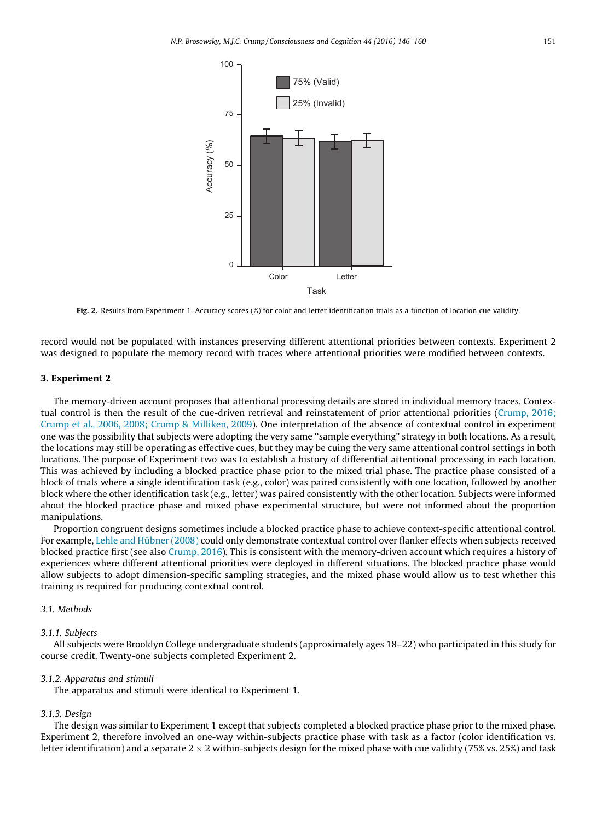<span id="page-5-0"></span>

Fig. 2. Results from Experiment 1. Accuracy scores (%) for color and letter identification trials as a function of location cue validity.

record would not be populated with instances preserving different attentional priorities between contexts. Experiment 2 was designed to populate the memory record with traces where attentional priorities were modified between contexts.

# 3. Experiment 2

The memory-driven account proposes that attentional processing details are stored in individual memory traces. Contextual control is then the result of the cue-driven retrieval and reinstatement of prior attentional priorities ([Crump, 2016;](#page-14-0) [Crump et al., 2006, 2008; Crump & Milliken, 2009](#page-14-0)). One interpretation of the absence of contextual control in experiment one was the possibility that subjects were adopting the very same ''sample everything" strategy in both locations. As a result, the locations may still be operating as effective cues, but they may be cuing the very same attentional control settings in both locations. The purpose of Experiment two was to establish a history of differential attentional processing in each location. This was achieved by including a blocked practice phase prior to the mixed trial phase. The practice phase consisted of a block of trials where a single identification task (e.g., color) was paired consistently with one location, followed by another block where the other identification task (e.g., letter) was paired consistently with the other location. Subjects were informed about the blocked practice phase and mixed phase experimental structure, but were not informed about the proportion manipulations.

Proportion congruent designs sometimes include a blocked practice phase to achieve context-specific attentional control. For example, [Lehle and Hübner \(2008\)](#page-14-0) could only demonstrate contextual control over flanker effects when subjects received blocked practice first (see also [Crump, 2016\)](#page-14-0). This is consistent with the memory-driven account which requires a history of experiences where different attentional priorities were deployed in different situations. The blocked practice phase would allow subjects to adopt dimension-specific sampling strategies, and the mixed phase would allow us to test whether this training is required for producing contextual control.

# 3.1. Methods

# 3.1.1. Subjects

All subjects were Brooklyn College undergraduate students (approximately ages 18–22) who participated in this study for course credit. Twenty-one subjects completed Experiment 2.

## 3.1.2. Apparatus and stimuli

The apparatus and stimuli were identical to Experiment 1.

#### 3.1.3. Design

The design was similar to Experiment 1 except that subjects completed a blocked practice phase prior to the mixed phase. Experiment 2, therefore involved an one-way within-subjects practice phase with task as a factor (color identification vs. letter identification) and a separate  $2 \times 2$  within-subjects design for the mixed phase with cue validity (75% vs. 25%) and task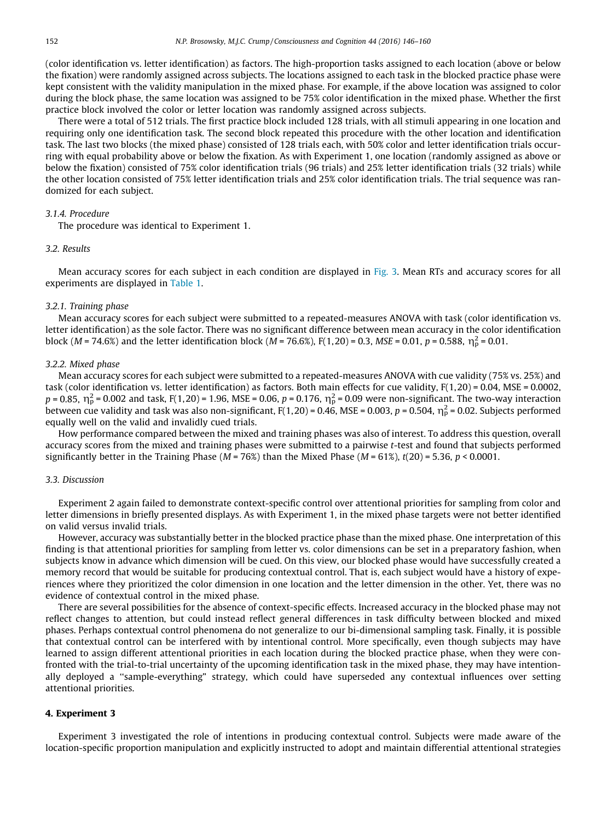(color identification vs. letter identification) as factors. The high-proportion tasks assigned to each location (above or below the fixation) were randomly assigned across subjects. The locations assigned to each task in the blocked practice phase were kept consistent with the validity manipulation in the mixed phase. For example, if the above location was assigned to color during the block phase, the same location was assigned to be 75% color identification in the mixed phase. Whether the first practice block involved the color or letter location was randomly assigned across subjects.

There were a total of 512 trials. The first practice block included 128 trials, with all stimuli appearing in one location and requiring only one identification task. The second block repeated this procedure with the other location and identification task. The last two blocks (the mixed phase) consisted of 128 trials each, with 50% color and letter identification trials occurring with equal probability above or below the fixation. As with Experiment 1, one location (randomly assigned as above or below the fixation) consisted of 75% color identification trials (96 trials) and 25% letter identification trials (32 trials) while the other location consisted of 75% letter identification trials and 25% color identification trials. The trial sequence was randomized for each subject.

# 3.1.4. Procedure

The procedure was identical to Experiment 1.

## 3.2. Results

Mean accuracy scores for each subject in each condition are displayed in [Fig. 3](#page-7-0). Mean RTs and accuracy scores for all experiments are displayed in [Table 1](#page-4-0).

# 3.2.1. Training phase

Mean accuracy scores for each subject were submitted to a repeated-measures ANOVA with task (color identification vs. letter identification) as the sole factor. There was no significant difference between mean accuracy in the color identification block (M = 74.6%) and the letter identification block (M = 76.6%), F(1,20) = 0.3, MSE = 0.01, p = 0.588,  $\eta_p^2$  = 0.01.

# 3.2.2. Mixed phase

Mean accuracy scores for each subject were submitted to a repeated-measures ANOVA with cue validity (75% vs. 25%) and task (color identification vs. letter identification) as factors. Both main effects for cue validity, F(1,20) = 0.04, MSE = 0.0002, p = 0.85,  $\eta_p^2$  = 0.002 and task, F(1,20) = 1.96, MSE = 0.06, p = 0.176,  $\eta_p^2$  = 0.09 were non-significant. The two-way interaction between cue validity and task was also non-significant, F(1,20) = 0.46, MSE = 0.003, p = 0.504,  $\eta_p^2$  = 0.02. Subjects performed equally well on the valid and invalidly cued trials.

How performance compared between the mixed and training phases was also of interest. To address this question, overall accuracy scores from the mixed and training phases were submitted to a pairwise t-test and found that subjects performed significantly better in the Training Phase ( $M = 76\%$ ) than the Mixed Phase ( $M = 61\%$ ),  $t(20) = 5.36$ ,  $p < 0.0001$ .

# 3.3. Discussion

Experiment 2 again failed to demonstrate context-specific control over attentional priorities for sampling from color and letter dimensions in briefly presented displays. As with Experiment 1, in the mixed phase targets were not better identified on valid versus invalid trials.

However, accuracy was substantially better in the blocked practice phase than the mixed phase. One interpretation of this finding is that attentional priorities for sampling from letter vs. color dimensions can be set in a preparatory fashion, when subjects know in advance which dimension will be cued. On this view, our blocked phase would have successfully created a memory record that would be suitable for producing contextual control. That is, each subject would have a history of experiences where they prioritized the color dimension in one location and the letter dimension in the other. Yet, there was no evidence of contextual control in the mixed phase.

There are several possibilities for the absence of context-specific effects. Increased accuracy in the blocked phase may not reflect changes to attention, but could instead reflect general differences in task difficulty between blocked and mixed phases. Perhaps contextual control phenomena do not generalize to our bi-dimensional sampling task. Finally, it is possible that contextual control can be interfered with by intentional control. More specifically, even though subjects may have learned to assign different attentional priorities in each location during the blocked practice phase, when they were confronted with the trial-to-trial uncertainty of the upcoming identification task in the mixed phase, they may have intentionally deployed a ''sample-everything" strategy, which could have superseded any contextual influences over setting attentional priorities.

# 4. Experiment 3

Experiment 3 investigated the role of intentions in producing contextual control. Subjects were made aware of the location-specific proportion manipulation and explicitly instructed to adopt and maintain differential attentional strategies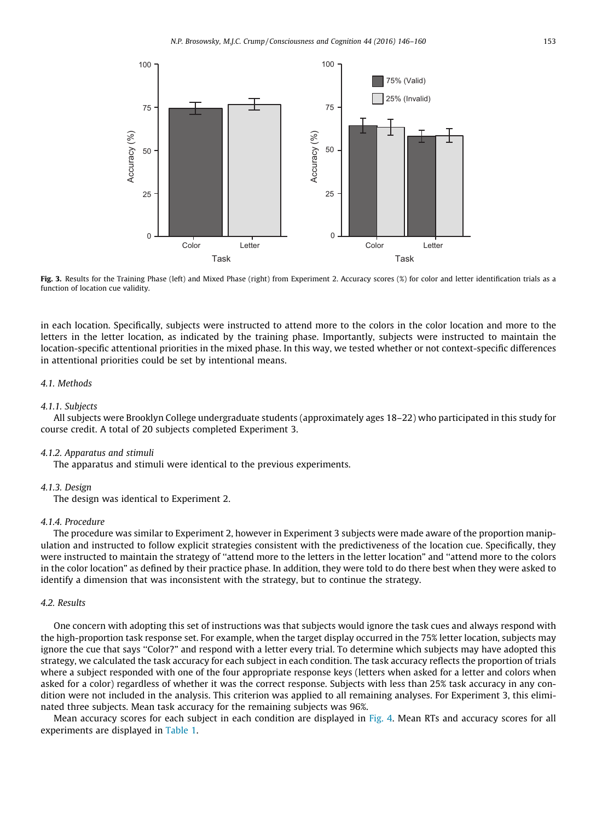<span id="page-7-0"></span>

Fig. 3. Results for the Training Phase (left) and Mixed Phase (right) from Experiment 2. Accuracy scores (%) for color and letter identification trials as a function of location cue validity.

in each location. Specifically, subjects were instructed to attend more to the colors in the color location and more to the letters in the letter location, as indicated by the training phase. Importantly, subjects were instructed to maintain the location-specific attentional priorities in the mixed phase. In this way, we tested whether or not context-specific differences in attentional priorities could be set by intentional means.

# 4.1. Methods

#### 4.1.1. Subjects

All subjects were Brooklyn College undergraduate students (approximately ages 18–22) who participated in this study for course credit. A total of 20 subjects completed Experiment 3.

# 4.1.2. Apparatus and stimuli

The apparatus and stimuli were identical to the previous experiments.

# 4.1.3. Design

The design was identical to Experiment 2.

# 4.1.4. Procedure

The procedure was similar to Experiment 2, however in Experiment 3 subjects were made aware of the proportion manipulation and instructed to follow explicit strategies consistent with the predictiveness of the location cue. Specifically, they were instructed to maintain the strategy of ''attend more to the letters in the letter location" and ''attend more to the colors in the color location" as defined by their practice phase. In addition, they were told to do there best when they were asked to identify a dimension that was inconsistent with the strategy, but to continue the strategy.

# 4.2. Results

One concern with adopting this set of instructions was that subjects would ignore the task cues and always respond with the high-proportion task response set. For example, when the target display occurred in the 75% letter location, subjects may ignore the cue that says ''Color?" and respond with a letter every trial. To determine which subjects may have adopted this strategy, we calculated the task accuracy for each subject in each condition. The task accuracy reflects the proportion of trials where a subject responded with one of the four appropriate response keys (letters when asked for a letter and colors when asked for a color) regardless of whether it was the correct response. Subjects with less than 25% task accuracy in any condition were not included in the analysis. This criterion was applied to all remaining analyses. For Experiment 3, this eliminated three subjects. Mean task accuracy for the remaining subjects was 96%.

Mean accuracy scores for each subject in each condition are displayed in [Fig. 4.](#page-8-0) Mean RTs and accuracy scores for all experiments are displayed in [Table 1.](#page-4-0)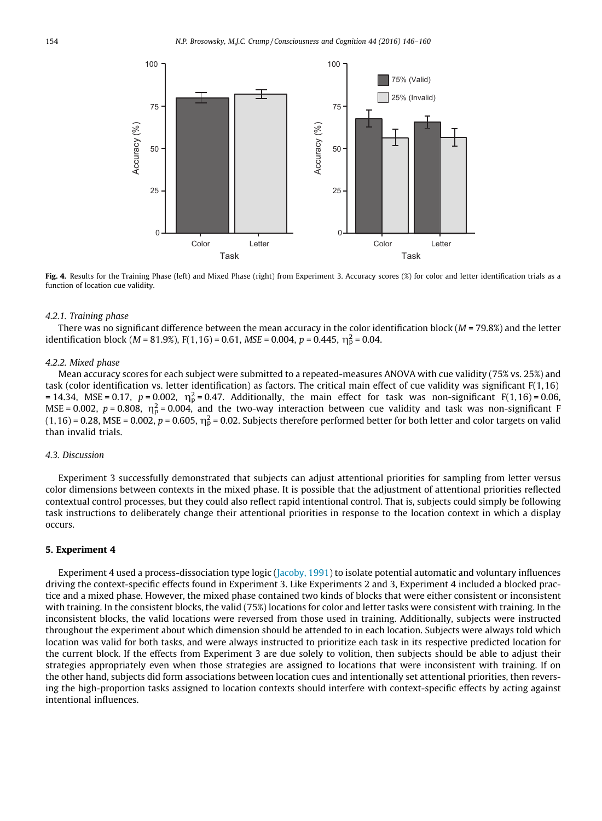<span id="page-8-0"></span>

Fig. 4. Results for the Training Phase (left) and Mixed Phase (right) from Experiment 3. Accuracy scores (%) for color and letter identification trials as a function of location cue validity.

#### 4.2.1. Training phase

There was no significant difference between the mean accuracy in the color identification block ( $M = 79.8\%$ ) and the letter identification block (M = 81.9%), F(1,16) = 0.61, MSE = 0.004, p = 0.445,  $\eta_p^2$  = 0.04.

# 4.2.2. Mixed phase

Mean accuracy scores for each subject were submitted to a repeated-measures ANOVA with cue validity (75% vs. 25%) and task (color identification vs. letter identification) as factors. The critical main effect of cue validity was significant F(1, 16) = 14.34, MSE = 0.17,  $p = 0.002$ ,  $\eta_p^2 = 0.47$ . Additionally, the main effect for task was non-significant F(1,16) = 0.06, MSE = 0.002,  $p$  = 0.808,  $\eta_p^2$  = 0.004, and the two-way interaction between cue validity and task was non-significant F (1,16) = 0.28, MSE = 0.002, p = 0.605,  $\eta_p^2$  = 0.02. Subjects therefore performed better for both letter and color targets on valid than invalid trials.

## 4.3. Discussion

Experiment 3 successfully demonstrated that subjects can adjust attentional priorities for sampling from letter versus color dimensions between contexts in the mixed phase. It is possible that the adjustment of attentional priorities reflected contextual control processes, but they could also reflect rapid intentional control. That is, subjects could simply be following task instructions to deliberately change their attentional priorities in response to the location context in which a display occurs.

# 5. Experiment 4

Experiment 4 used a process-dissociation type logic ([Jacoby, 1991\)](#page-14-0) to isolate potential automatic and voluntary influences driving the context-specific effects found in Experiment 3. Like Experiments 2 and 3, Experiment 4 included a blocked practice and a mixed phase. However, the mixed phase contained two kinds of blocks that were either consistent or inconsistent with training. In the consistent blocks, the valid (75%) locations for color and letter tasks were consistent with training. In the inconsistent blocks, the valid locations were reversed from those used in training. Additionally, subjects were instructed throughout the experiment about which dimension should be attended to in each location. Subjects were always told which location was valid for both tasks, and were always instructed to prioritize each task in its respective predicted location for the current block. If the effects from Experiment 3 are due solely to volition, then subjects should be able to adjust their strategies appropriately even when those strategies are assigned to locations that were inconsistent with training. If on the other hand, subjects did form associations between location cues and intentionally set attentional priorities, then reversing the high-proportion tasks assigned to location contexts should interfere with context-specific effects by acting against intentional influences.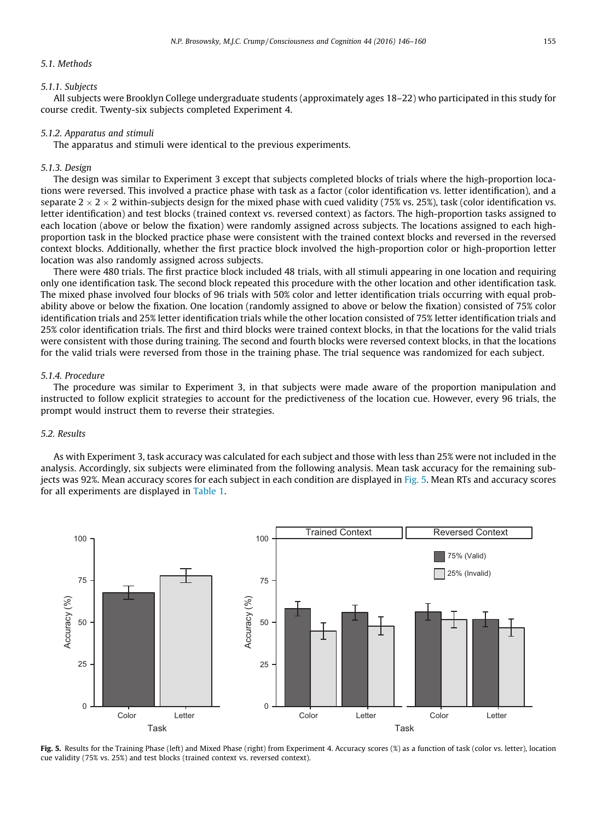# 5.1. Methods

# 5.1.1. Subjects

All subjects were Brooklyn College undergraduate students (approximately ages 18–22) who participated in this study for course credit. Twenty-six subjects completed Experiment 4.

# 5.1.2. Apparatus and stimuli

The apparatus and stimuli were identical to the previous experiments.

# 5.1.3. Design

The design was similar to Experiment 3 except that subjects completed blocks of trials where the high-proportion locations were reversed. This involved a practice phase with task as a factor (color identification vs. letter identification), and a separate  $2 \times 2 \times 2$  within-subjects design for the mixed phase with cued validity (75% vs. 25%), task (color identification vs. letter identification) and test blocks (trained context vs. reversed context) as factors. The high-proportion tasks assigned to each location (above or below the fixation) were randomly assigned across subjects. The locations assigned to each highproportion task in the blocked practice phase were consistent with the trained context blocks and reversed in the reversed context blocks. Additionally, whether the first practice block involved the high-proportion color or high-proportion letter location was also randomly assigned across subjects.

There were 480 trials. The first practice block included 48 trials, with all stimuli appearing in one location and requiring only one identification task. The second block repeated this procedure with the other location and other identification task. The mixed phase involved four blocks of 96 trials with 50% color and letter identification trials occurring with equal probability above or below the fixation. One location (randomly assigned to above or below the fixation) consisted of 75% color identification trials and 25% letter identification trials while the other location consisted of 75% letter identification trials and 25% color identification trials. The first and third blocks were trained context blocks, in that the locations for the valid trials were consistent with those during training. The second and fourth blocks were reversed context blocks, in that the locations for the valid trials were reversed from those in the training phase. The trial sequence was randomized for each subject.

# 5.1.4. Procedure

The procedure was similar to Experiment 3, in that subjects were made aware of the proportion manipulation and instructed to follow explicit strategies to account for the predictiveness of the location cue. However, every 96 trials, the prompt would instruct them to reverse their strategies.

# 5.2. Results

As with Experiment 3, task accuracy was calculated for each subject and those with less than 25% were not included in the analysis. Accordingly, six subjects were eliminated from the following analysis. Mean task accuracy for the remaining subjects was 92%. Mean accuracy scores for each subject in each condition are displayed in Fig. 5. Mean RTs and accuracy scores for all experiments are displayed in [Table 1.](#page-4-0)



Fig. 5. Results for the Training Phase (left) and Mixed Phase (right) from Experiment 4. Accuracy scores (%) as a function of task (color vs. letter), location cue validity (75% vs. 25%) and test blocks (trained context vs. reversed context).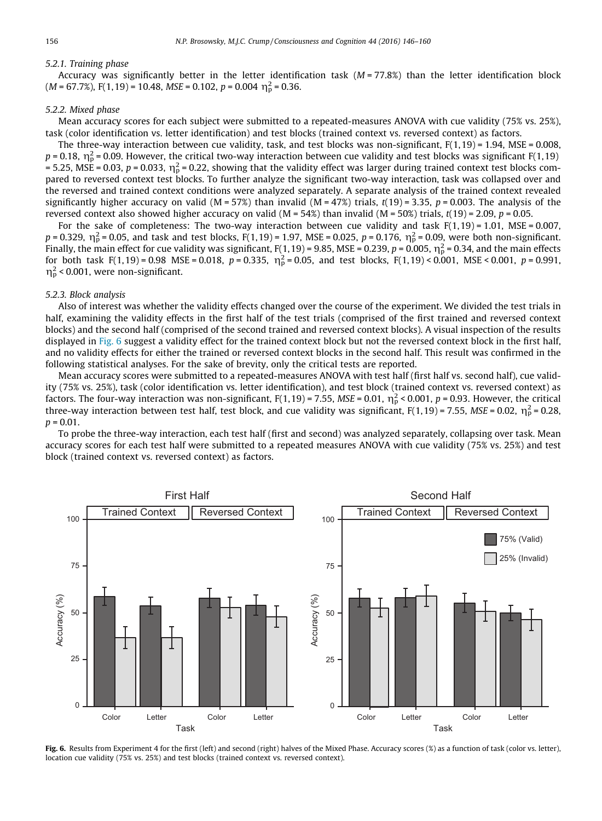# 5.2.1. Training phase

Accuracy was significantly better in the letter identification task  $(M = 77.8%)$  than the letter identification block  $(M = 67.7\%)$ , F(1,19) = 10.48, MSE = 0.102, p = 0.004  $\eta_p^2$  = 0.36.

# 5.2.2. Mixed phase

Mean accuracy scores for each subject were submitted to a repeated-measures ANOVA with cue validity (75% vs. 25%), task (color identification vs. letter identification) and test blocks (trained context vs. reversed context) as factors.

The three-way interaction between cue validity, task, and test blocks was non-significant,  $F(1, 19) = 1.94$ , MSE = 0.008, p = 0.18,  $\eta_p^2$  = 0.09. However, the critical two-way interaction between cue validity and test blocks was significant F(1,19) = 5.25, MSE = 0.03, p = 0.033,  $\eta_p^2$  = 0.22, showing that the validity effect was larger during trained context test blocks compared to reversed context test blocks. To further analyze the significant two-way interaction, task was collapsed over and the reversed and trained context conditions were analyzed separately. A separate analysis of the trained context revealed significantly higher accuracy on valid (M = 57%) than invalid (M = 47%) trials,  $t(19)$  = 3.35, p = 0.003. The analysis of the reversed context also showed higher accuracy on valid (M = 54%) than invalid (M = 50%) trials,  $t(19) = 2.09$ ,  $p = 0.05$ .

For the sake of completeness: The two-way interaction between cue validity and task  $F(1, 19) = 1.01$ , MSE = 0.007, p = 0.329,  $\eta_p^2$  = 0.05, and task and test blocks, F(1,19) = 1.97, MSE = 0.025, p = 0.176,  $\eta_p^2$  = 0.09, were both non-significant. Finally, the main effect for cue validity was significant, F(1,19) = 9.85, MSE = 0.239, p = 0.005,  $\eta_p^2$  = 0.34, and the main effects for both task F(1,19) = 0.98 MSE = 0.018,  $p = 0.335$ ,  $\eta_p^2 = 0.05$ , and test blocks, F(1,19) < 0.001, MSE < 0.001,  $p = 0.991$  $\eta_{\rm p}^2$  < 0.001, were non-significant.

# 5.2.3. Block analysis

Also of interest was whether the validity effects changed over the course of the experiment. We divided the test trials in half, examining the validity effects in the first half of the test trials (comprised of the first trained and reversed context blocks) and the second half (comprised of the second trained and reversed context blocks). A visual inspection of the results displayed in Fig. 6 suggest a validity effect for the trained context block but not the reversed context block in the first half, and no validity effects for either the trained or reversed context blocks in the second half. This result was confirmed in the following statistical analyses. For the sake of brevity, only the critical tests are reported.

Mean accuracy scores were submitted to a repeated-measures ANOVA with test half (first half vs. second half), cue validity (75% vs. 25%), task (color identification vs. letter identification), and test block (trained context vs. reversed context) as factors. The four-way interaction was non-significant, F(1,19) = 7.55, MSE = 0.01,  $\eta_p^2$  < 0.001, p = 0.93. However, the critical three-way interaction between test half, test block, and cue validity was significant, F(1,19) = 7.55, MSE = 0.02,  $\eta_p^2$  = 0.28,  $p = 0.01$ .

To probe the three-way interaction, each test half (first and second) was analyzed separately, collapsing over task. Mean accuracy scores for each test half were submitted to a repeated measures ANOVA with cue validity (75% vs. 25%) and test block (trained context vs. reversed context) as factors.



Fig. 6. Results from Experiment 4 for the first (left) and second (right) halves of the Mixed Phase. Accuracy scores (%) as a function of task (color vs. letter), location cue validity (75% vs. 25%) and test blocks (trained context vs. reversed context).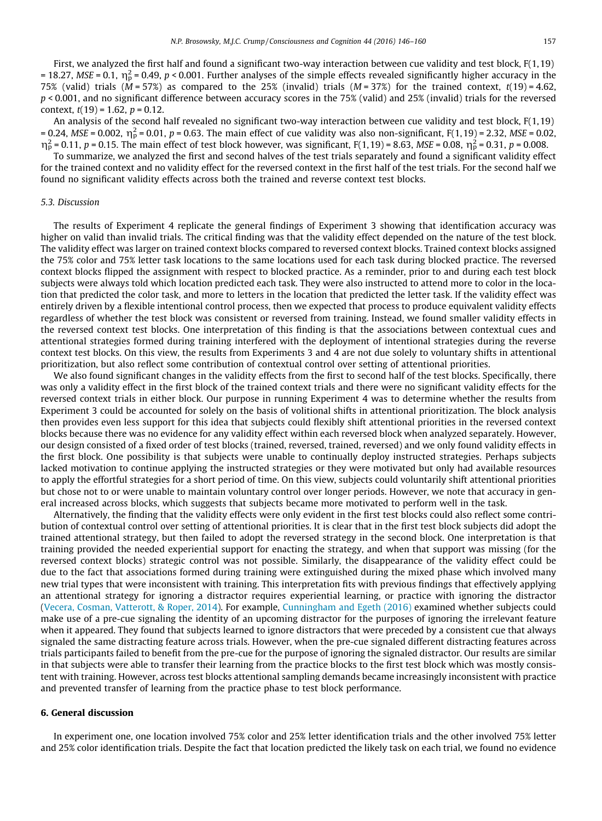First, we analyzed the first half and found a significant two-way interaction between cue validity and test block, F(1,19) = 18.27, MSE = 0.1,  $\eta_p^2$  = 0.49, p < 0.001. Further analyses of the simple effects revealed significantly higher accuracy in the 75% (valid) trials ( $M = 57\%$ ) as compared to the 25% (invalid) trials ( $M = 37\%$ ) for the trained context,  $t(19) = 4.62$ ,  $p$  < 0.001, and no significant difference between accuracy scores in the 75% (valid) and 25% (invalid) trials for the reversed context,  $t(19) = 1.62$ ,  $p = 0.12$ .

An analysis of the second half revealed no significant two-way interaction between cue validity and test block, F(1,19) = 0.24, MSE = 0.002,  $\eta_p^2$  = 0.01, p = 0.63. The main effect of cue validity was also non-significant, F(1,19) = 2.32, MSE = 0.02,  $\eta_p^2$  = 0.11, p = 0.15. The main effect of test block however, was significant, F(1,19) = 8.63, MSE = 0.08,  $\eta_p^2$  = 0.31, p = 0.008.

To summarize, we analyzed the first and second halves of the test trials separately and found a significant validity effect for the trained context and no validity effect for the reversed context in the first half of the test trials. For the second half we found no significant validity effects across both the trained and reverse context test blocks.

# 5.3. Discussion

The results of Experiment 4 replicate the general findings of Experiment 3 showing that identification accuracy was higher on valid than invalid trials. The critical finding was that the validity effect depended on the nature of the test block. The validity effect was larger on trained context blocks compared to reversed context blocks. Trained context blocks assigned the 75% color and 75% letter task locations to the same locations used for each task during blocked practice. The reversed context blocks flipped the assignment with respect to blocked practice. As a reminder, prior to and during each test block subjects were always told which location predicted each task. They were also instructed to attend more to color in the location that predicted the color task, and more to letters in the location that predicted the letter task. If the validity effect was entirely driven by a flexible intentional control process, then we expected that process to produce equivalent validity effects regardless of whether the test block was consistent or reversed from training. Instead, we found smaller validity effects in the reversed context test blocks. One interpretation of this finding is that the associations between contextual cues and attentional strategies formed during training interfered with the deployment of intentional strategies during the reverse context test blocks. On this view, the results from Experiments 3 and 4 are not due solely to voluntary shifts in attentional prioritization, but also reflect some contribution of contextual control over setting of attentional priorities.

We also found significant changes in the validity effects from the first to second half of the test blocks. Specifically, there was only a validity effect in the first block of the trained context trials and there were no significant validity effects for the reversed context trials in either block. Our purpose in running Experiment 4 was to determine whether the results from Experiment 3 could be accounted for solely on the basis of volitional shifts in attentional prioritization. The block analysis then provides even less support for this idea that subjects could flexibly shift attentional priorities in the reversed context blocks because there was no evidence for any validity effect within each reversed block when analyzed separately. However, our design consisted of a fixed order of test blocks (trained, reversed, trained, reversed) and we only found validity effects in the first block. One possibility is that subjects were unable to continually deploy instructed strategies. Perhaps subjects lacked motivation to continue applying the instructed strategies or they were motivated but only had available resources to apply the effortful strategies for a short period of time. On this view, subjects could voluntarily shift attentional priorities but chose not to or were unable to maintain voluntary control over longer periods. However, we note that accuracy in general increased across blocks, which suggests that subjects became more motivated to perform well in the task.

Alternatively, the finding that the validity effects were only evident in the first test blocks could also reflect some contribution of contextual control over setting of attentional priorities. It is clear that in the first test block subjects did adopt the trained attentional strategy, but then failed to adopt the reversed strategy in the second block. One interpretation is that training provided the needed experiential support for enacting the strategy, and when that support was missing (for the reversed context blocks) strategic control was not possible. Similarly, the disappearance of the validity effect could be due to the fact that associations formed during training were extinguished during the mixed phase which involved many new trial types that were inconsistent with training. This interpretation fits with previous findings that effectively applying an attentional strategy for ignoring a distractor requires experiential learning, or practice with ignoring the distractor ([Vecera, Cosman, Vatterott, & Roper, 2014\)](#page-14-0). For example, [Cunningham and Egeth \(2016\)](#page-14-0) examined whether subjects could make use of a pre-cue signaling the identity of an upcoming distractor for the purposes of ignoring the irrelevant feature when it appeared. They found that subjects learned to ignore distractors that were preceded by a consistent cue that always signaled the same distracting feature across trials. However, when the pre-cue signaled different distracting features across trials participants failed to benefit from the pre-cue for the purpose of ignoring the signaled distractor. Our results are similar in that subjects were able to transfer their learning from the practice blocks to the first test block which was mostly consistent with training. However, across test blocks attentional sampling demands became increasingly inconsistent with practice and prevented transfer of learning from the practice phase to test block performance.

#### 6. General discussion

In experiment one, one location involved 75% color and 25% letter identification trials and the other involved 75% letter and 25% color identification trials. Despite the fact that location predicted the likely task on each trial, we found no evidence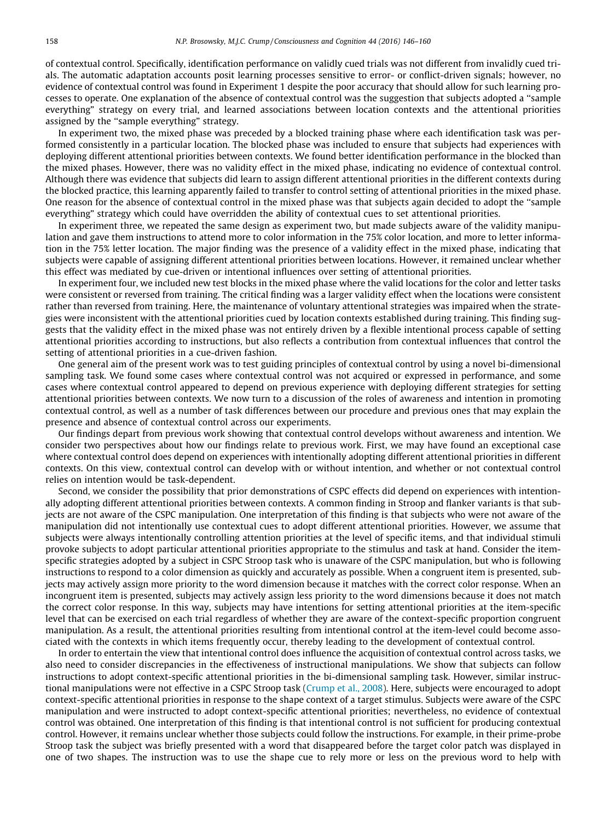of contextual control. Specifically, identification performance on validly cued trials was not different from invalidly cued trials. The automatic adaptation accounts posit learning processes sensitive to error- or conflict-driven signals; however, no evidence of contextual control was found in Experiment 1 despite the poor accuracy that should allow for such learning processes to operate. One explanation of the absence of contextual control was the suggestion that subjects adopted a ''sample everything" strategy on every trial, and learned associations between location contexts and the attentional priorities assigned by the ''sample everything" strategy.

In experiment two, the mixed phase was preceded by a blocked training phase where each identification task was performed consistently in a particular location. The blocked phase was included to ensure that subjects had experiences with deploying different attentional priorities between contexts. We found better identification performance in the blocked than the mixed phases. However, there was no validity effect in the mixed phase, indicating no evidence of contextual control. Although there was evidence that subjects did learn to assign different attentional priorities in the different contexts during the blocked practice, this learning apparently failed to transfer to control setting of attentional priorities in the mixed phase. One reason for the absence of contextual control in the mixed phase was that subjects again decided to adopt the ''sample everything" strategy which could have overridden the ability of contextual cues to set attentional priorities.

In experiment three, we repeated the same design as experiment two, but made subjects aware of the validity manipulation and gave them instructions to attend more to color information in the 75% color location, and more to letter information in the 75% letter location. The major finding was the presence of a validity effect in the mixed phase, indicating that subjects were capable of assigning different attentional priorities between locations. However, it remained unclear whether this effect was mediated by cue-driven or intentional influences over setting of attentional priorities.

In experiment four, we included new test blocks in the mixed phase where the valid locations for the color and letter tasks were consistent or reversed from training. The critical finding was a larger validity effect when the locations were consistent rather than reversed from training. Here, the maintenance of voluntary attentional strategies was impaired when the strategies were inconsistent with the attentional priorities cued by location contexts established during training. This finding suggests that the validity effect in the mixed phase was not entirely driven by a flexible intentional process capable of setting attentional priorities according to instructions, but also reflects a contribution from contextual influences that control the setting of attentional priorities in a cue-driven fashion.

One general aim of the present work was to test guiding principles of contextual control by using a novel bi-dimensional sampling task. We found some cases where contextual control was not acquired or expressed in performance, and some cases where contextual control appeared to depend on previous experience with deploying different strategies for setting attentional priorities between contexts. We now turn to a discussion of the roles of awareness and intention in promoting contextual control, as well as a number of task differences between our procedure and previous ones that may explain the presence and absence of contextual control across our experiments.

Our findings depart from previous work showing that contextual control develops without awareness and intention. We consider two perspectives about how our findings relate to previous work. First, we may have found an exceptional case where contextual control does depend on experiences with intentionally adopting different attentional priorities in different contexts. On this view, contextual control can develop with or without intention, and whether or not contextual control relies on intention would be task-dependent.

Second, we consider the possibility that prior demonstrations of CSPC effects did depend on experiences with intentionally adopting different attentional priorities between contexts. A common finding in Stroop and flanker variants is that subjects are not aware of the CSPC manipulation. One interpretation of this finding is that subjects who were not aware of the manipulation did not intentionally use contextual cues to adopt different attentional priorities. However, we assume that subjects were always intentionally controlling attention priorities at the level of specific items, and that individual stimuli provoke subjects to adopt particular attentional priorities appropriate to the stimulus and task at hand. Consider the itemspecific strategies adopted by a subject in CSPC Stroop task who is unaware of the CSPC manipulation, but who is following instructions to respond to a color dimension as quickly and accurately as possible. When a congruent item is presented, subjects may actively assign more priority to the word dimension because it matches with the correct color response. When an incongruent item is presented, subjects may actively assign less priority to the word dimensions because it does not match the correct color response. In this way, subjects may have intentions for setting attentional priorities at the item-specific level that can be exercised on each trial regardless of whether they are aware of the context-specific proportion congruent manipulation. As a result, the attentional priorities resulting from intentional control at the item-level could become associated with the contexts in which items frequently occur, thereby leading to the development of contextual control.

In order to entertain the view that intentional control does influence the acquisition of contextual control across tasks, we also need to consider discrepancies in the effectiveness of instructional manipulations. We show that subjects can follow instructions to adopt context-specific attentional priorities in the bi-dimensional sampling task. However, similar instructional manipulations were not effective in a CSPC Stroop task [\(Crump et al., 2008](#page-14-0)). Here, subjects were encouraged to adopt context-specific attentional priorities in response to the shape context of a target stimulus. Subjects were aware of the CSPC manipulation and were instructed to adopt context-specific attentional priorities; nevertheless, no evidence of contextual control was obtained. One interpretation of this finding is that intentional control is not sufficient for producing contextual control. However, it remains unclear whether those subjects could follow the instructions. For example, in their prime-probe Stroop task the subject was briefly presented with a word that disappeared before the target color patch was displayed in one of two shapes. The instruction was to use the shape cue to rely more or less on the previous word to help with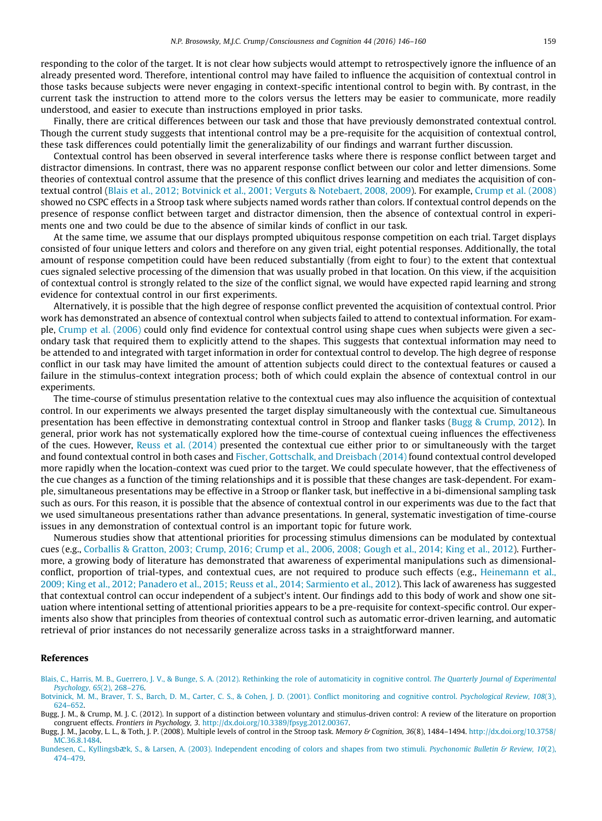<span id="page-13-0"></span>responding to the color of the target. It is not clear how subjects would attempt to retrospectively ignore the influence of an already presented word. Therefore, intentional control may have failed to influence the acquisition of contextual control in those tasks because subjects were never engaging in context-specific intentional control to begin with. By contrast, in the current task the instruction to attend more to the colors versus the letters may be easier to communicate, more readily understood, and easier to execute than instructions employed in prior tasks.

Finally, there are critical differences between our task and those that have previously demonstrated contextual control. Though the current study suggests that intentional control may be a pre-requisite for the acquisition of contextual control, these task differences could potentially limit the generalizability of our findings and warrant further discussion.

Contextual control has been observed in several interference tasks where there is response conflict between target and distractor dimensions. In contrast, there was no apparent response conflict between our color and letter dimensions. Some theories of contextual control assume that the presence of this conflict drives learning and mediates the acquisition of contextual control (Blais et al., 2012; Botvinick et al., 2001; Verguts & Notebaert, 2008, 2009). For example, [Crump et al. \(2008\)](#page-14-0) showed no CSPC effects in a Stroop task where subjects named words rather than colors. If contextual control depends on the presence of response conflict between target and distractor dimension, then the absence of contextual control in experiments one and two could be due to the absence of similar kinds of conflict in our task.

At the same time, we assume that our displays prompted ubiquitous response competition on each trial. Target displays consisted of four unique letters and colors and therefore on any given trial, eight potential responses. Additionally, the total amount of response competition could have been reduced substantially (from eight to four) to the extent that contextual cues signaled selective processing of the dimension that was usually probed in that location. On this view, if the acquisition of contextual control is strongly related to the size of the conflict signal, we would have expected rapid learning and strong evidence for contextual control in our first experiments.

Alternatively, it is possible that the high degree of response conflict prevented the acquisition of contextual control. Prior work has demonstrated an absence of contextual control when subjects failed to attend to contextual information. For example, [Crump et al. \(2006\)](#page-14-0) could only find evidence for contextual control using shape cues when subjects were given a secondary task that required them to explicitly attend to the shapes. This suggests that contextual information may need to be attended to and integrated with target information in order for contextual control to develop. The high degree of response conflict in our task may have limited the amount of attention subjects could direct to the contextual features or caused a failure in the stimulus-context integration process; both of which could explain the absence of contextual control in our experiments.

The time-course of stimulus presentation relative to the contextual cues may also influence the acquisition of contextual control. In our experiments we always presented the target display simultaneously with the contextual cue. Simultaneous presentation has been effective in demonstrating contextual control in Stroop and flanker tasks (Bugg & Crump, 2012). In general, prior work has not systematically explored how the time-course of contextual cueing influences the effectiveness of the cues. However, [Reuss et al. \(2014\)](#page-14-0) presented the contextual cue either prior to or simultaneously with the target and found contextual control in both cases and [Fischer, Gottschalk, and Dreisbach \(2014\)](#page-14-0) found contextual control developed more rapidly when the location-context was cued prior to the target. We could speculate however, that the effectiveness of the cue changes as a function of the timing relationships and it is possible that these changes are task-dependent. For example, simultaneous presentations may be effective in a Stroop or flanker task, but ineffective in a bi-dimensional sampling task such as ours. For this reason, it is possible that the absence of contextual control in our experiments was due to the fact that we used simultaneous presentations rather than advance presentations. In general, systematic investigation of time-course issues in any demonstration of contextual control is an important topic for future work.

Numerous studies show that attentional priorities for processing stimulus dimensions can be modulated by contextual cues (e.g., [Corballis & Gratton, 2003; Crump, 2016; Crump et al., 2006, 2008; Gough et al., 2014; King et al., 2012](#page-14-0)). Furthermore, a growing body of literature has demonstrated that awareness of experimental manipulations such as dimensionalconflict, proportion of trial-types, and contextual cues, are not required to produce such effects (e.g., [Heinemann et al.,](#page-14-0) [2009; King et al., 2012; Panadero et al., 2015; Reuss et al., 2014; Sarmiento et al., 2012](#page-14-0)). This lack of awareness has suggested that contextual control can occur independent of a subject's intent. Our findings add to this body of work and show one situation where intentional setting of attentional priorities appears to be a pre-requisite for context-specific control. Our experiments also show that principles from theories of contextual control such as automatic error-driven learning, and automatic retrieval of prior instances do not necessarily generalize across tasks in a straightforward manner.

#### References

[Blais, C., Harris, M. B., Guerrero, J. V., & Bunge, S. A. \(2012\). Rethinking the role of automaticity in cognitive control.](http://refhub.elsevier.com/S1053-8100(16)30185-4/h0005) The Quarterly Journal of Experimental [Psychology, 65](http://refhub.elsevier.com/S1053-8100(16)30185-4/h0005)(2), 268–276.

[Botvinick, M. M., Braver, T. S., Barch, D. M., Carter, C. S., & Cohen, J. D. \(2001\). Conflict monitoring and cognitive control.](http://refhub.elsevier.com/S1053-8100(16)30185-4/h0010) Psychological Review, 108(3), [624–652.](http://refhub.elsevier.com/S1053-8100(16)30185-4/h0010)

Bugg, J. M., & Crump, M. J. C. (2012). In support of a distinction between voluntary and stimulus-driven control: A review of the literature on proportion congruent effects. Frontiers in Psychology, 3. <http://dx.doi.org/10.3389/fpsyg.2012.00367>.

Bugg, J. M., Jacoby, L. L., & Toth, J. P. (2008). Multiple levels of control in the Stroop task. Memory & Cognition, 36(8), 1484-1494. [http://dx.doi.org/10.3758/](http://dx.doi.org/10.3758/MC.36.8.1484) [MC.36.8.1484](http://dx.doi.org/10.3758/MC.36.8.1484)

[Bundesen, C., Kyllingsbæk, S., & Larsen, A. \(2003\). Independent encoding of colors and shapes from two stimuli.](http://refhub.elsevier.com/S1053-8100(16)30185-4/h0025) Psychonomic Bulletin & Review, 10(2), [474–479.](http://refhub.elsevier.com/S1053-8100(16)30185-4/h0025)